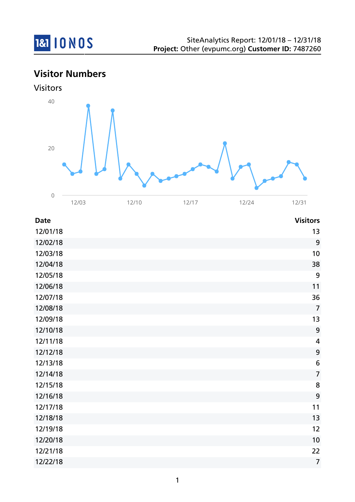

## **Visitor Numbers**





| <b>Date</b> | <b>Visitors</b>         |
|-------------|-------------------------|
| 12/01/18    | 13                      |
| 12/02/18    | 9                       |
| 12/03/18    | 10                      |
| 12/04/18    | 38                      |
| 12/05/18    | 9                       |
| 12/06/18    | 11                      |
| 12/07/18    | 36                      |
| 12/08/18    | $\overline{7}$          |
| 12/09/18    | 13                      |
| 12/10/18    | 9                       |
| 12/11/18    | $\overline{\mathbf{4}}$ |
| 12/12/18    | $\boldsymbol{9}$        |
| 12/13/18    | $6\phantom{1}6$         |
| 12/14/18    | $\overline{7}$          |
| 12/15/18    | 8                       |
| 12/16/18    | 9                       |
| 12/17/18    | 11                      |
| 12/18/18    | 13                      |
| 12/19/18    | 12                      |
| 12/20/18    | 10                      |
| 12/21/18    | 22                      |
| 12/22/18    | $\overline{7}$          |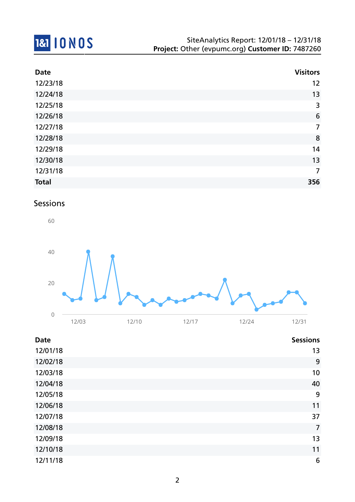

| <b>Date</b>  | <b>Visitors</b> |
|--------------|-----------------|
| 12/23/18     | 12              |
| 12/24/18     | 13              |
| 12/25/18     | 3               |
| 12/26/18     | $6\phantom{1}6$ |
| 12/27/18     | $\overline{7}$  |
| 12/28/18     | 8               |
| 12/29/18     | 14              |
| 12/30/18     | 13              |
| 12/31/18     | $\overline{7}$  |
| <b>Total</b> | 356             |

#### Sessions



| <b>Date</b> | <b>Sessions</b> |
|-------------|-----------------|
| 12/01/18    | 13              |
| 12/02/18    | 9               |
| 12/03/18    | 10              |
| 12/04/18    | 40              |
| 12/05/18    | 9               |
| 12/06/18    | 11              |
| 12/07/18    | 37              |
| 12/08/18    | $\overline{7}$  |
| 12/09/18    | 13              |
| 12/10/18    | 11              |
| 12/11/18    | 6               |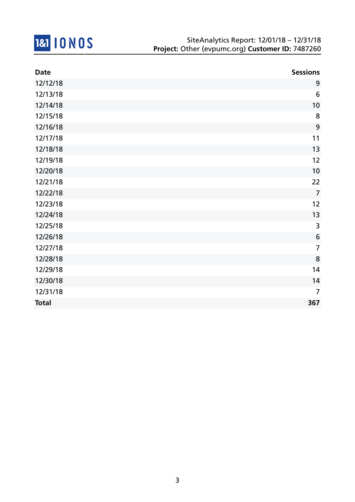

| <b>Date</b>  | <b>Sessions</b> |
|--------------|-----------------|
| 12/12/18     | 9               |
| 12/13/18     | $6\,$           |
| 12/14/18     | 10              |
| 12/15/18     | 8               |
| 12/16/18     | 9               |
| 12/17/18     | 11              |
| 12/18/18     | 13              |
| 12/19/18     | 12              |
| 12/20/18     | 10              |
| 12/21/18     | 22              |
| 12/22/18     | $\overline{7}$  |
| 12/23/18     | 12              |
| 12/24/18     | 13              |
| 12/25/18     | 3               |
| 12/26/18     | $6\phantom{1}6$ |
| 12/27/18     | $\overline{7}$  |
| 12/28/18     | 8               |
| 12/29/18     | 14              |
| 12/30/18     | 14              |
| 12/31/18     | $\overline{7}$  |
| <b>Total</b> | 367             |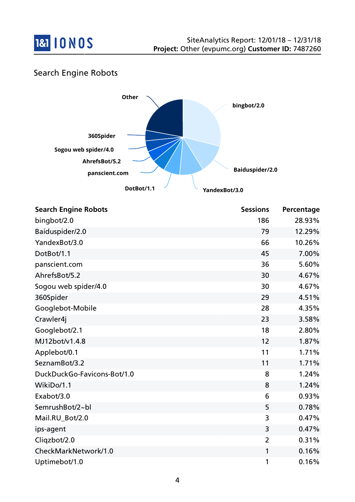

## Search Engine Robots



| <b>Search Engine Robots</b> | <b>Sessions</b> | Percentage |
|-----------------------------|-----------------|------------|
| bingbot/2.0                 | 186             | 28.93%     |
| Baiduspider/2.0             | 79              | 12.29%     |
| YandexBot/3.0               | 66              | 10.26%     |
| DotBot/1.1                  | 45              | 7.00%      |
| panscient.com               | 36              | 5.60%      |
| AhrefsBot/5.2               | 30              | 4.67%      |
| Sogou web spider/4.0        | 30              | 4.67%      |
| 360Spider                   | 29              | 4.51%      |
| Googlebot-Mobile            | 28              | 4.35%      |
| Crawler4j                   | 23              | 3.58%      |
| Googlebot/2.1               | 18              | 2.80%      |
| MJ12bot/v1.4.8              | 12              | 1.87%      |
| Applebot/0.1                | 11              | 1.71%      |
| SeznamBot/3.2               | 11              | 1.71%      |
| DuckDuckGo-Favicons-Bot/1.0 | 8               | 1.24%      |
| WikiDo/1.1                  | 8               | 1.24%      |
| Exabot/3.0                  | 6               | 0.93%      |
| SemrushBot/2~bl             | 5               | 0.78%      |
| Mail.RU_Bot/2.0             | 3               | 0.47%      |
| ips-agent                   | 3               | 0.47%      |
| Cliqzbot/2.0                | $\overline{2}$  | 0.31%      |
| CheckMarkNetwork/1.0        | 1               | 0.16%      |
| Uptimebot/1.0               | 1               | 0.16%      |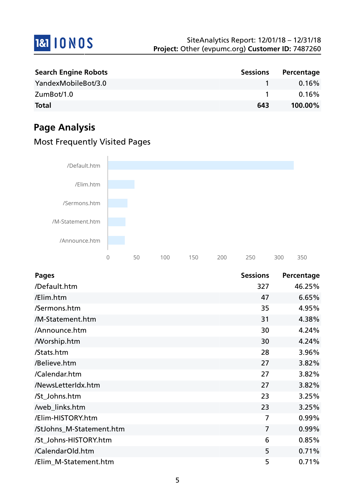

| <b>Search Engine Robots</b> | <b>Sessions</b> | Percentage |
|-----------------------------|-----------------|------------|
| YandexMobileBot/3.0         |                 | $0.16\%$   |
| ZumBot/1.0                  |                 | 0.16%      |
| <b>Total</b>                | 643             | 100.00%    |

## **Page Analysis**

## Most Frequently Visited Pages



| <b>Pages</b>             | <b>Sessions</b> | Percentage |
|--------------------------|-----------------|------------|
| /Default.htm             | 327             | 46.25%     |
| /Elim.htm                | 47              | 6.65%      |
| /Sermons.htm             | 35              | 4.95%      |
| /M-Statement.htm         | 31              | 4.38%      |
| /Announce.htm            | 30              | 4.24%      |
| <b>Morship.htm</b>       | 30              | 4.24%      |
| /Stats.htm               | 28              | 3.96%      |
| /Believe.htm             | 27              | 3.82%      |
| /Calendar.htm            | 27              | 3.82%      |
| /NewsLetterIdx.htm       | 27              | 3.82%      |
| /St_Johns.htm            | 23              | 3.25%      |
| /web_links.htm           | 23              | 3.25%      |
| /Elim-HISTORY.htm        | 7               | 0.99%      |
| /StJohns_M-Statement.htm | 7               | 0.99%      |
| /St_Johns-HISTORY.htm    | 6               | 0.85%      |
| /CalendarOld.htm         | 5               | 0.71%      |
| /Elim_M-Statement.htm    | 5               | 0.71%      |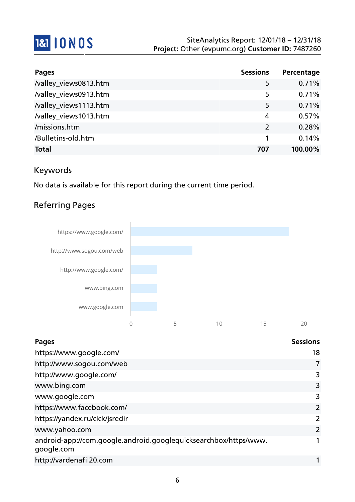

| <b>Pages</b>          | <b>Sessions</b> | Percentage |
|-----------------------|-----------------|------------|
| /valley_views0813.htm | 5               | 0.71%      |
| /valley_views0913.htm | 5               | 0.71%      |
| /valley_views1113.htm | 5               | 0.71%      |
| /valley_views1013.htm | 4               | 0.57%      |
| /missions.htm         | $\mathcal{L}$   | 0.28%      |
| /Bulletins-old.htm    |                 | 0.14%      |
| <b>Total</b>          | 707             | 100.00%    |

## Keywords

No data is available for this report during the current time period.

## Referring Pages



| <b>Pages</b>                                                                   | <b>Sessions</b> |
|--------------------------------------------------------------------------------|-----------------|
| https://www.google.com/                                                        | 18              |
| http://www.sogou.com/web                                                       | 7               |
| http://www.google.com/                                                         | 3               |
| www.bing.com                                                                   | 3               |
| www.google.com                                                                 | 3               |
| https://www.facebook.com/                                                      | 2               |
| https://yandex.ru/clck/jsredir                                                 | 2               |
| www.yahoo.com                                                                  | $\overline{2}$  |
| android-app://com.google.android.googlequicksearchbox/https/www.<br>google.com |                 |
| http://vardenafil20.com                                                        |                 |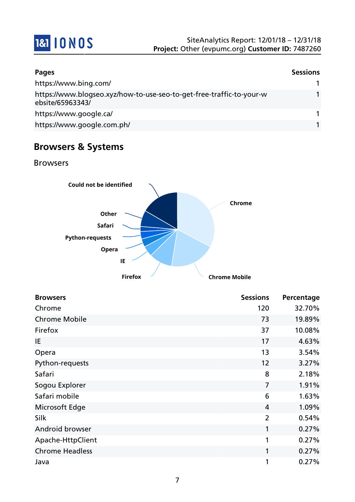

| <b>Pages</b>                                                                             | <b>Sessions</b> |
|------------------------------------------------------------------------------------------|-----------------|
| https://www.bing.com/                                                                    |                 |
| https://www.blogseo.xyz/how-to-use-seo-to-get-free-traffic-to-your-w<br>ebsite/65963343/ |                 |
| https://www.google.ca/                                                                   |                 |
| https://www.google.com.ph/                                                               |                 |

## **Browsers & Systems**

Browsers



| <b>Browsers</b>        | <b>Sessions</b> | Percentage |
|------------------------|-----------------|------------|
| Chrome                 | 120             | 32.70%     |
| <b>Chrome Mobile</b>   | 73              | 19.89%     |
| Firefox                | 37              | 10.08%     |
| IE                     | 17              | 4.63%      |
| Opera                  | 13              | 3.54%      |
| Python-requests        | 12              | 3.27%      |
| Safari                 | 8               | 2.18%      |
| Sogou Explorer         | $\overline{7}$  | 1.91%      |
| Safari mobile          | 6               | 1.63%      |
| Microsoft Edge         | $\overline{4}$  | 1.09%      |
| Silk                   | $\overline{2}$  | 0.54%      |
| Android browser        | 1               | 0.27%      |
| Apache-HttpClient      | 1               | 0.27%      |
| <b>Chrome Headless</b> | 1               | 0.27%      |
| Java                   | 1               | 0.27%      |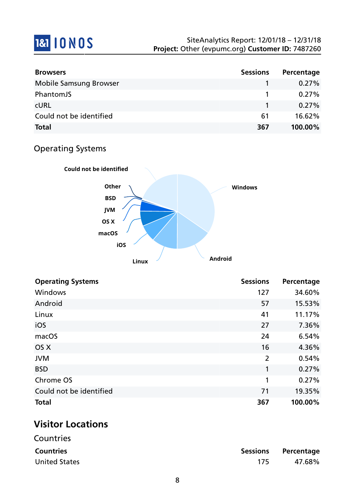# **1&1 10 NOS**

| <b>Browsers</b>               | <b>Sessions</b> | Percentage |
|-------------------------------|-----------------|------------|
| <b>Mobile Samsung Browser</b> |                 | $0.27\%$   |
| PhantomJS                     |                 | $0.27\%$   |
| <b>CURL</b>                   |                 | $0.27\%$   |
| Could not be identified       | 61              | 16.62%     |
| <b>Total</b>                  | 367             | 100.00%    |

## Operating Systems



| <b>Operating Systems</b> | <b>Sessions</b> | Percentage |
|--------------------------|-----------------|------------|
| Windows                  | 127             | 34.60%     |
| Android                  | 57              | 15.53%     |
| Linux                    | 41              | 11.17%     |
| iOS                      | 27              | 7.36%      |
| macOS                    | 24              | 6.54%      |
| OS X                     | 16              | 4.36%      |
| <b>JVM</b>               | $\overline{2}$  | 0.54%      |
| <b>BSD</b>               | 1               | 0.27%      |
| Chrome OS                | 1               | 0.27%      |
| Could not be identified  | 71              | 19.35%     |
| <b>Total</b>             | 367             | 100.00%    |

## **Visitor Locations**

| Countries            |     |                     |
|----------------------|-----|---------------------|
| <b>Countries</b>     |     | Sessions Percentage |
| <b>United States</b> | 175 | 47.68%              |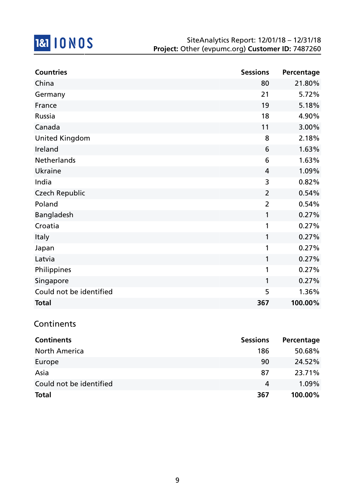

| <b>Countries</b>        | <b>Sessions</b> | Percentage |
|-------------------------|-----------------|------------|
| China                   | 80              | 21.80%     |
| Germany                 | 21              | 5.72%      |
| France                  | 19              | 5.18%      |
| Russia                  | 18              | 4.90%      |
| Canada                  | 11              | 3.00%      |
| <b>United Kingdom</b>   | 8               | 2.18%      |
| Ireland                 | 6               | 1.63%      |
| Netherlands             | 6               | 1.63%      |
| <b>Ukraine</b>          | 4               | 1.09%      |
| India                   | 3               | 0.82%      |
| <b>Czech Republic</b>   | $\overline{2}$  | 0.54%      |
| Poland                  | $\overline{2}$  | 0.54%      |
| Bangladesh              | 1               | 0.27%      |
| Croatia                 | 1               | 0.27%      |
| Italy                   | 1               | 0.27%      |
| Japan                   | 1               | 0.27%      |
| Latvia                  | 1               | 0.27%      |
| Philippines             | 1               | 0.27%      |
| Singapore               | 1               | 0.27%      |
| Could not be identified | 5               | 1.36%      |
| <b>Total</b>            | 367             | 100.00%    |

#### **Continents**

| <b>Continents</b>       | <b>Sessions</b> | Percentage |
|-------------------------|-----------------|------------|
| <b>North America</b>    | 186             | 50.68%     |
| Europe                  | 90              | 24.52%     |
| Asia                    | 87              | 23.71%     |
| Could not be identified | 4               | $1.09\%$   |
| <b>Total</b>            | 367             | 100.00%    |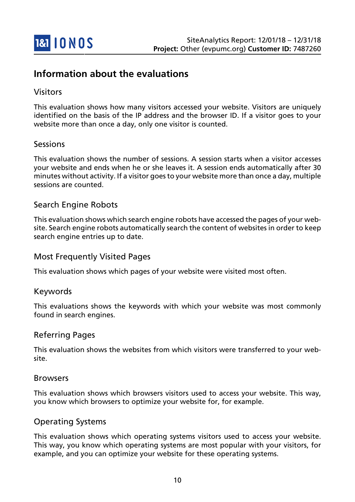

## **Information about the evaluations**

#### Visitors

This evaluation shows how many visitors accessed your website. Visitors are uniquely identified on the basis of the IP address and the browser ID. If a visitor goes to your website more than once a day, only one visitor is counted.

#### Sessions

This evaluation shows the number of sessions. A session starts when a visitor accesses your website and ends when he or she leaves it. A session ends automatically after 30 minutes without activity. If a visitor goes to your website more than once a day, multiple sessions are counted.

#### Search Engine Robots

This evaluation shows which search engine robots have accessed the pages of your website. Search engine robots automatically search the content of websites in order to keep search engine entries up to date.

#### Most Frequently Visited Pages

This evaluation shows which pages of your website were visited most often.

#### Keywords

This evaluations shows the keywords with which your website was most commonly found in search engines.

#### Referring Pages

This evaluation shows the websites from which visitors were transferred to your website.

#### Browsers

This evaluation shows which browsers visitors used to access your website. This way, you know which browsers to optimize your website for, for example.

#### Operating Systems

This evaluation shows which operating systems visitors used to access your website. This way, you know which operating systems are most popular with your visitors, for example, and you can optimize your website for these operating systems.